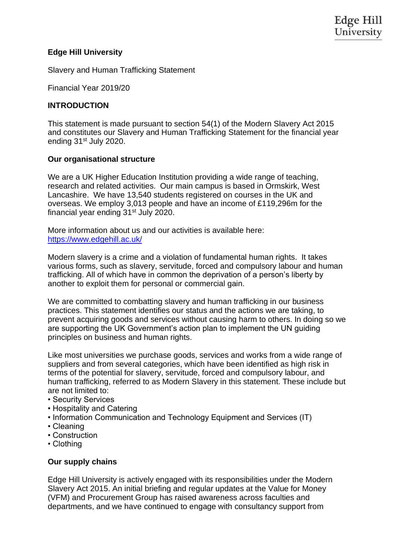## **Edge Hill University**

Slavery and Human Trafficking Statement

Financial Year 2019/20

### **INTRODUCTION**

This statement is made pursuant to section 54(1) of the Modern Slavery Act 2015 and constitutes our Slavery and Human Trafficking Statement for the financial year ending 31<sup>st</sup> July 2020.

### **Our organisational structure**

We are a UK Higher Education Institution providing a wide range of teaching, research and related activities. Our main campus is based in Ormskirk, West Lancashire. We have 13,540 students registered on courses in the UK and overseas. We employ 3,013 people and have an income of £119,296m for the financial year ending  $31<sup>st</sup>$  July 2020.

More information about us and our activities is available here: <https://www.edgehill.ac.uk/>

Modern slavery is a crime and a violation of fundamental human rights. It takes various forms, such as slavery, servitude, forced and compulsory labour and human trafficking. All of which have in common the deprivation of a person's liberty by another to exploit them for personal or commercial gain.

We are committed to combatting slavery and human trafficking in our business practices. This statement identifies our status and the actions we are taking, to prevent acquiring goods and services without causing harm to others. In doing so we are supporting the UK Government's action plan to implement the UN guiding principles on business and human rights.

Like most universities we purchase goods, services and works from a wide range of suppliers and from several categories, which have been identified as high risk in terms of the potential for slavery, servitude, forced and compulsory labour, and human trafficking, referred to as Modern Slavery in this statement. These include but are not limited to:

- Security Services
- Hospitality and Catering
- Information Communication and Technology Equipment and Services (IT)
- Cleaning
- Construction
- Clothing

### **Our supply chains**

Edge Hill University is actively engaged with its responsibilities under the Modern Slavery Act 2015. An initial briefing and regular updates at the Value for Money (VFM) and Procurement Group has raised awareness across faculties and departments, and we have continued to engage with consultancy support from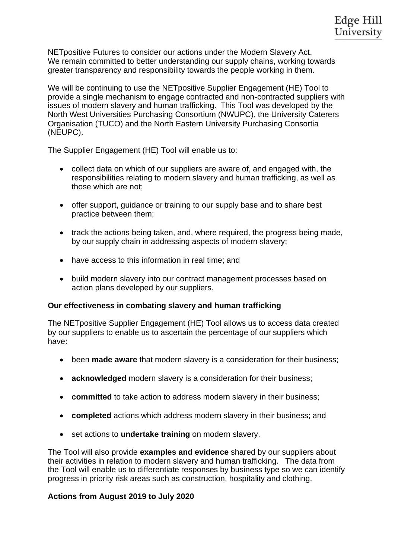NETpositive Futures to consider our actions under the Modern Slavery Act. We remain committed to better understanding our supply chains, working towards greater transparency and responsibility towards the people working in them.

We will be continuing to use the NETpositive Supplier Engagement (HE) Tool to provide a single mechanism to engage contracted and non-contracted suppliers with issues of modern slavery and human trafficking. This Tool was developed by the North West Universities Purchasing Consortium (NWUPC), the University Caterers Organisation (TUCO) and the North Eastern University Purchasing Consortia (NEUPC).

The Supplier Engagement (HE) Tool will enable us to:

- collect data on which of our suppliers are aware of, and engaged with, the responsibilities relating to modern slavery and human trafficking, as well as those which are not;
- offer support, guidance or training to our supply base and to share best practice between them;
- track the actions being taken, and, where required, the progress being made, by our supply chain in addressing aspects of modern slavery;
- have access to this information in real time; and
- build modern slavery into our contract management processes based on action plans developed by our suppliers.

# **Our effectiveness in combating slavery and human trafficking**

The NETpositive Supplier Engagement (HE) Tool allows us to access data created by our suppliers to enable us to ascertain the percentage of our suppliers which have:

- been **made aware** that modern slavery is a consideration for their business;
- **acknowledged** modern slavery is a consideration for their business;
- **committed** to take action to address modern slavery in their business;
- **completed** actions which address modern slavery in their business; and
- set actions to **undertake training** on modern slavery.

The Tool will also provide **examples and evidence** shared by our suppliers about their activities in relation to modern slavery and human trafficking. The data from the Tool will enable us to differentiate responses by business type so we can identify progress in priority risk areas such as construction, hospitality and clothing.

# **Actions from August 2019 to July 2020**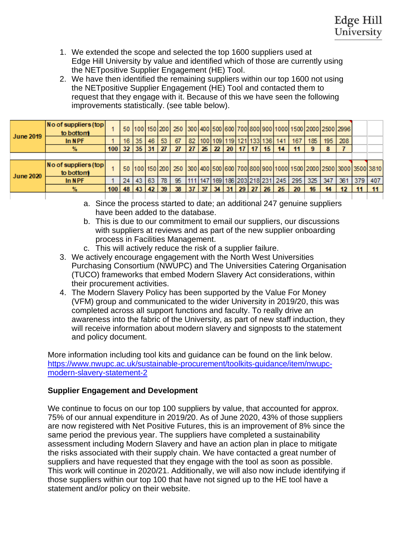- 1. We extended the scope and selected the top 1600 suppliers used at Edge Hill University by value and identified which of those are currently using the NETpositive Supplier Engagement (HE) Tool.
- 2. We have then identified the remaining suppliers within our top 1600 not using the NETpositive Supplier Engagement (HE) Tool and contacted them to request that they engage with it. Because of this we have seen the following improvements statistically. (see table below).

| <b>June 2019</b> | No of suppliers (top<br>to bottom |                           |    |       |    |     |    |                             |    |  |  |                                   |                                               |     |     |     | 50  100   150   200   250   300   400   500   600   700   800   900   1000   1500   2000   2500   2996 |     |     |
|------------------|-----------------------------------|---------------------------|----|-------|----|-----|----|-----------------------------|----|--|--|-----------------------------------|-----------------------------------------------|-----|-----|-----|--------------------------------------------------------------------------------------------------------|-----|-----|
|                  | In NPF                            |                           | 16 | 35    | 46 | -53 | 67 | 82                          |    |  |  | 100   109   119   121   133   136 | 141                                           | 167 | 185 | 195 | 208                                                                                                    |     |     |
|                  | $\%$                              | $100$ 32 35 31 27         |    |       |    |     | 27 | 27   25   22   20   17   17 |    |  |  | -15                               | 14                                            | 11  |     |     |                                                                                                        |     |     |
|                  |                                   |                           |    |       |    |     |    |                             |    |  |  |                                   |                                               |     |     |     |                                                                                                        |     |     |
|                  | No of suppliers (top<br>to bottom |                           |    |       |    |     |    |                             |    |  |  |                                   |                                               |     |     |     | 50  100  150  200   250  300  400  500  600  700  800  900  1000  1500  2000  2500  3000  3500  3810   |     |     |
|                  |                                   |                           |    |       |    |     |    |                             |    |  |  |                                   |                                               |     |     |     |                                                                                                        |     |     |
| <b>June 2020</b> | In NPF                            |                           | 24 | 43 63 |    | -78 | 95 |                             |    |  |  |                                   | 111   147   169   186   203   218   231   245 | 295 | 325 | 347 | 361                                                                                                    | 379 | 407 |
|                  | $\%$                              | $100$   48   43   42   39 |    |       |    |     | 38 | 37                          | 37 |  |  |                                   | 34 31 29 27 26 25                             | 20  | 16  | 14  |                                                                                                        |     |     |

- a. Since the process started to date; an additional 247 genuine suppliers have been added to the database.
- b. This is due to our commitment to email our suppliers, our discussions with suppliers at reviews and as part of the new supplier onboarding process in Facilities Management.
- c. This will actively reduce the risk of a supplier failure.
- 3. We actively encourage engagement with the North West Universities Purchasing Consortium (NWUPC) and The Universities Catering Organisation (TUCO) frameworks that embed Modern Slavery Act considerations, within their procurement activities.
- 4. The Modern Slavery Policy has been supported by the Value For Money (VFM) group and communicated to the wider University in 2019/20, this was completed across all support functions and faculty. To really drive an awareness into the fabric of the University, as part of new staff induction, they will receive information about modern slavery and signposts to the statement and policy document.

More information including tool kits and guidance can be found on the link below. [https://www.nwupc.ac.uk/sustainable-procurement/toolkits-guidance/item/nwupc](https://www.nwupc.ac.uk/sustainable-procurement/toolkits-guidance/item/nwupc-modern-slavery-statement-2)[modern-slavery-statement-2](https://www.nwupc.ac.uk/sustainable-procurement/toolkits-guidance/item/nwupc-modern-slavery-statement-2)

# **Supplier Engagement and Development**

We continue to focus on our top 100 suppliers by value, that accounted for approx. 75% of our annual expenditure in 2019/20. As of June 2020, 43% of those suppliers are now registered with Net Positive Futures, this is an improvement of 8% since the same period the previous year. The suppliers have completed a sustainability assessment including Modern Slavery and have an action plan in place to mitigate the risks associated with their supply chain. We have contacted a great number of suppliers and have requested that they engage with the tool as soon as possible. This work will continue in 2020/21. Additionally, we will also now include identifying if those suppliers within our top 100 that have not signed up to the HE tool have a statement and/or policy on their website.